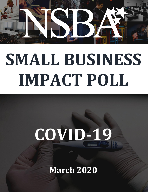

# **SMALL BUSINESS IMPACT POLL**

# **COVID-19**

**March 2020**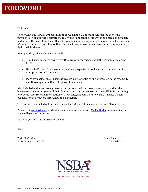Welcome.

The coronavirus (COVID-19) continues to spread in the U.S. creating widespread economic turbulence. In an effort to illustrate the real-world implications of the virus and help policymakers understand the likely long-term effects the pandemic is causing among America's small businesses, NSBA has compiled a poll of more than 950 small-business owners on how the virus is impacting their small business.

Among the key takeaways from this poll:

- 3-in-4 small business owners say they are very concerned about the economic impact of COVID-19;
- Nearly half of small businesses have already experienced reduced customer demand for their products and services; and
- More than half of small-business owners are now anticipating a recession in the coming 12 months compared with just 14 percent in January.

Also included in this poll are vignettes directly from small-business owners on how they, their businesses, their employees and their families are faring in these trying times. NSBA is continuing to provide resources and information on its website, and will work to ensure America's small businesses can persevere throughout this pandemic.

This poll was conducted online among more than 950 small-business owners on March 11-13.

Please visit [www.nsba.biz](http://www.nsba.biz/) for details and updates, or contact ou[r Media Affairs](mailto:press@nsba.biz) department with any media-related inquiries.

We hope you find this information useful.

Best,

Todd McCracken Narc Amato NSBA President and CEO 2020 Board Chair



**AMERICA'S SMALL BUSINESS ADVOCATE**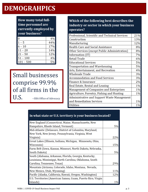# **DEMOGRAHPICS**

How many total fulltime personnel are currently employed by **your business?** 

| 0           | 4%  |
|-------------|-----|
| $1 - 5$     | 44% |
| $6 - 10$    | 17% |
| $11 - 20$   | 14% |
| $21 - 50$   | 12% |
| $51 - 100$  | 4%  |
| $101 - 500$ | 50  |

Small businesses comprise 99.9% of all firms in the U.S. --SBA Office of Advocacy

## Which of the following best describes the industry or sector in which your business operates?

| Professional, Scientific and Technical Services | 21%   |
|-------------------------------------------------|-------|
| Construction                                    | 13%   |
| Manufacturing                                   | 12%   |
| <b>Health Care and Social Assistance</b>        | 8%    |
| Other Services (except Public Administration)   | 8%    |
| Information (IT)                                | 7%    |
| <b>Retail Trade</b>                             | 6%    |
| <b>Educational Services</b>                     | 5%    |
| Transportation and Warehousing                  | 5%    |
| Arts, Entertainment, and Recreation             | 4%    |
| <b>Wholesale Trade</b>                          | 3%    |
| <b>Accommodation and Food Services</b>          | 3%    |
| Finance & Insurance                             | 2%    |
| Real Estate, Rental and Leasing                 | 1%    |
| Management of Companies and Enterprises         | 1%    |
| Agriculture, Forestry, Fishing and Hunting      | 1%    |
| Administrative and Support Waste Management     |       |
| and Remediation Services                        | $1\%$ |
| <b>Utilities</b>                                | 1%    |

## In what state or U.S. territory is your business located?

| New England (Connecticut, Maine, Massachusetts, New         |     |
|-------------------------------------------------------------|-----|
| Hampshire, Rhode Island, Vermont)                           | 5%  |
| Mid-Atlantic (Delaware, District of Columbia, Maryland,     |     |
| New York, New Jersey, Pennsylvania, Virginia, West          |     |
| Virginia)                                                   | 22% |
| Great Lakes (Illinois, Indiana, Michigan, Minnesota, Ohio,  |     |
| Wisconsin)                                                  | 15% |
| Farm Belt (Iowa, Kansas, Missouri, North Dakota, Nebraska,  |     |
| South Dakota)                                               | 5%  |
| South (Alabama, Arkansas, Florida, Georgia, Kentucky,       |     |
| Louisiana, Mississippi, North Carolina, Oklahoma, South     |     |
| Carolina, Tennessee, Texas)                                 | 29% |
| Mountain (Arizona, Colorado, Idaho, Montana, Nevada,        |     |
| New Mexico, Utah, Wyoming)                                  | 11% |
| Pacific (Alaska, California, Hawaii, Oregon, Washington)    | 12% |
| U.S. Territories (American Samoa, Guam, Puerto Rico, Virgin |     |
| Islands)                                                    | 1%  |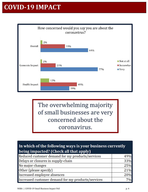# **COVID-19 IMPACT**



The overwhelming majority of small businesses are very concerned about the coronavirus.

## In which of the following ways is your business currently being impacted? (Check all that apply)

| Reduced customer demand for my products/services   | 49% |
|----------------------------------------------------|-----|
| Delays or closures in supply-chain                 | 33% |
| No major changes                                   | 25% |
| Other (please specify)                             | 21% |
| Increased employee absences                        | 20% |
| Increased customer demand for my products/services | 7%  |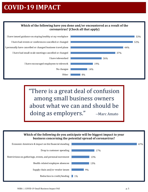# **COVID-19 IMPACT**

### Which of the following have you done and/or encountered as a result of the coronavirus? (Check all that apply)



"There is a great deal of confusion among small business owners about what we can and should be doing as employers." --Marc Amato

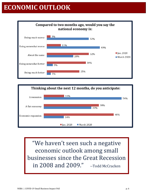# **ECONOMIC OUTLOOK**





"We haven't seen such a negative economic outlook among small businesses since the Great Recession in 2008 and 2009." --Todd McCracken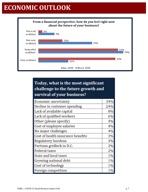# **ECONOMIC OUTLOOK**



## Today, what is the most significant challenge to the future growth and survival of your business?

| <b>Economic uncertainty</b>       | 34%   |
|-----------------------------------|-------|
| Decline in customer spending      | 24%   |
| Lack of available capital         | 8%    |
| Lack of qualified workers         | 6%    |
| Other (please specify)            | 4%    |
| Cost of employee salaries         | 4%    |
| No major challenges               | 4%    |
| Cost of health insurance benefits | 3%    |
| <b>Regulatory burdens</b>         | 3%    |
| Partisan gridlock in D.C.         | 3%    |
| <b>Federal taxes</b>              | 2%    |
| <b>State and local taxes</b>      | $1\%$ |
| Growing national debt             | 1%    |
| Cost of technology                | $1\%$ |
| Foreign competition               | 1%    |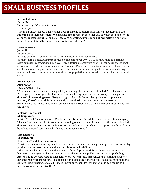### **Michael Stanek**

**Berea/OH** Hunt Imaging LLC, a manufacturer

21 employees

"The main impact on our business has been that some suppliers have limited inventory and are rationing it to their customers. We had a shipment come in the other day in which the supplier cut all our requested quantities in half. These are operating supplies and not raw materials so, to this point, it has not directly impacted our production schedule."

#### **Laura A Novak Joliet, IL**

#### 46 employees

Friends Over Fifty Senior Care, Inc., a non-medical in-home senior care

We have had a financial impact because of the panic over COVID-19. We have had to purchase extra supplies i.e. gowns, masks, gloves; hire additional caregivers; work longer hours that are not service connected; and put into place our Pandemic Plan, which includes providing childcare for the children of our caregivers who do not have the means or familial support when a school closing is announced in order to serve a vulnerable senior population, some of which in turn have no familial support.

#### **Kelly Erickson Aurora, CO**

TechForward IT, LLC

"As a business we are experiencing a delay in our supply chain of an estimated 2 weeks. We are an IT company so this applies to electronics. Our marketing department is also experiencing a shutdown of all networking events likely through to April. As far as is being able to complete our mission, 95% of our work is done remotely so we all still on track there, and we are not experiencing the illness in our own company and have not heard of any of our clients suffering from the illness."

#### **Melanie Koerperich**

#### **50 Employees**

Milrich Virtual Professionals and Wholesaler Masterminds Schedulers, a virtual assistant company "Some of our financial clients are now suspending our services while a host of others have doubled down on virtual meetings and webinars. As I just told one of our clients, we appreciate the ability to be able to proceed semi normally during this abnormal time."

#### **Lisa Radcliffe**

#### **Brooklyn, NY**

#### 4 full-time, 7 part-time employees

PunkinFutz, a manufacturing, wholesale and retail company that designs and produces sensory play products and accessories for children and adults with disabilities.

"All of our production is done in the US with a fully adaptive workforce. Given that our workforce has at-risk employees and is entirely reliant on close-contact, public transportation (including Access-a-Ride), we have had to furlough 5 workers (currently through April 6) and find a way to have the rest work from home. In addition, our major sales opportunities, including major national conferences, are being cancelled. Finally, our supply chain for raw materials is delayed up to a month. We may not survive this."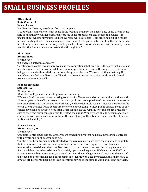## **Afton Stout**

**State Center, IA**

No employees My Dinosaur Dreams, a wedding floristry company

"I support my family alone. With being in the wedding industry, the uncertainty of my clients being able to hold their weddings has already caused some cancellations and postponed events. I'm unsure about whether my supplies from overseas will be affected - I am stocking up, but it makes me nervous to put out a bunch of money when I have clients potentially canceling their orders. My little family depends on me entirely - and I put a lot of my resources back into my community - I am worried that I won't be able to sustain that through this."

#### **Alan Davis Bountiful, UT**

#### 6 employees

i5 Services, a software company

"Meetings and conferences where we make the connections that provide us the sales that sustain us have been cancelled or postponed. It has put our operations at risk and the longer we go without being able to make these vital connections, the greater the risk. We have solutions that help US manufacturers find suppliers in the US and so it doesn't just put us at risk but those who benefit from our solutions as well."

#### **Rebecca Notowitz**

#### **San Jose, CA**

#### 21 employees

ACME Technologies Inc., a ticketing solutions company

"We are a SaaS company doing ticketing solutions for Museums and other cultural attractions with 21 employees both in CA and around the country. Since a good portion of our revenue comes from a revenue share with the venues we work with, we have definitely seen an impact already as traffic to our clients declines while people are concerned about going to these public spaces. Some of our clients have gone so far as to close their doors for at least the remainder of this month drastically cutting their and our income in order to protect the public. While we are able to accommodate our employees with work from home options, the uncertainty of the situation makes it difficult to plan for financial stability."

#### **Sharna Barnes**

#### **Riviera Beach, FL**

#### 4 employees

Complete Contract Consulting, a government consulting firm that helps businesses win contracts with private and public sector contracts

"Our firm has been tremendously affected by the virus as my clients have been unable to complete their services on contracts we have won them because the receiving service firm has been temporarily closed due to the virus. Because of that our clients have been delaying payment to our firm which has caused us to be unable to satisfy operational expenses. We have almost \$500k in accounts receivables outstanding, as a small business this is a huge financial impact to the firm. It's truly been an economic hardship for the firm and I fear it won't get any better, and I might have to lay staff off in order to keep up as I can't continue having them come to work and I can't pay them."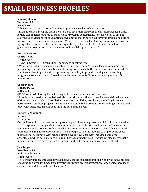## **Martin J. Smekal**

**Torrance, CA**

9 employees

TabletKiosk, a manufacturer of mobile computers focused on school nutrition

"Internationally our supply chain from Asia has been disrupted with greatly increased lead-times for key components required to build out our systems. Domestically, schools we sell to are not allowing us to visit and/or are shutting down operations, crippling our revenue stream and putting us in a very precarious financial position. We will have to consider shutting the company down and laying off all associates if this pandemic expands beyond a couple of weeks and the federal government does not set in with some sort of financial support options."

#### **Keisha A Rivers**

#### **Charlotte, NC**

#### 3 employees

The KARS Group LTD, a consulting, training and speaking firm

"We've had speaking engagements postponed indefinitely and/or cancelled and companies are postponing contracts for consulting and training programs until the threat has been contained. As a result, we've had to pivot and start promoting our ability to provide training and consulting programs virtually for a workforce that has become almost 100% remote overnight, even if it temporarily."

## **Gregg Moore**

## **Manassas, VA**

#### 6-10 employees

GMT Ceramics & Flooring Inc., a flooring and ceramic tile installation company "Schools have closed for extended periods so I'm short on office workers for an undefined amount of time. Also, we do a lot of installations in schools and if they are closed, we can't gain access to perform work on those projects. In addition, our residential customers are cancelling estimates and previously scheduled installations until the pandemic is over."

#### **Batiste G. Zgombick**

#### **Milford, CT**

#### 43 employees

Orange Research, Inc., a manufacturing company of differential pressure and flow instrumentation "We're experiencing supply chain disruptions which has both a financial impact and disrupts our ability to manufacture our product, which affects our customers' lead time. There's been reduced customer demand due to uncertainty in the marketplace and the inability to ship to some of our international customers. With schools closing, we're now faced with increased employee absenteeism which not only impacts our ability to manufacture our product but also increases the financial strain to cover the extra PTO benefits and costs the company will have to absorb."

#### **Jace Dugas**

#### **New Iberia, LA**

Additive Solution LLC

#### 3 Employees

"The coronavirus has impacted my business, by the stock market drop in price. I was in the process of getting approved for funds from investors for future growth. My proposal was denied because of coronavirus and drop in the stock market."